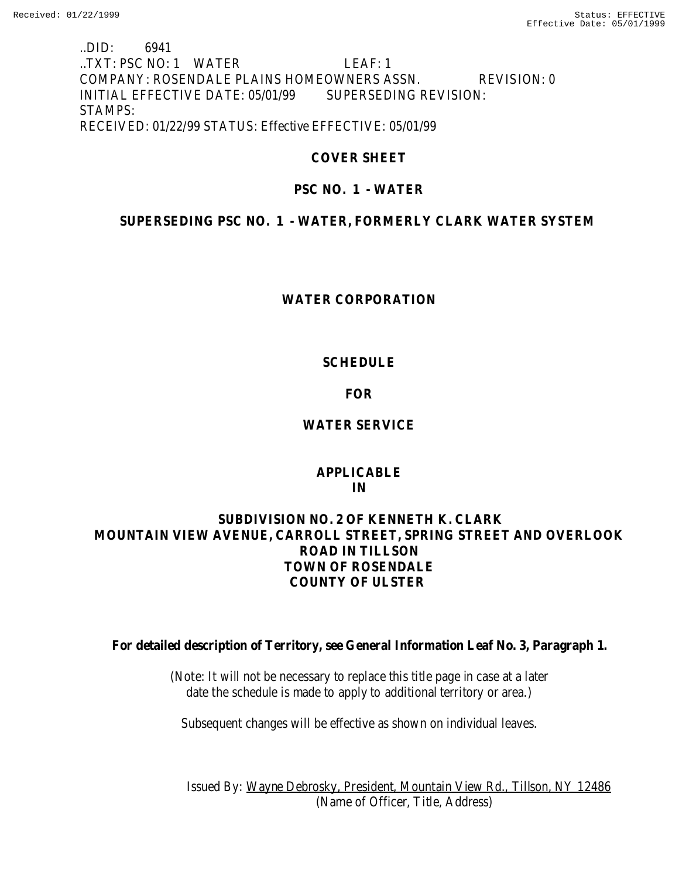## ..DID: 6941 ..TXT: PSC NO: 1 WATER LEAF: 1 COMPANY: ROSENDALE PLAINS HOMEOWNERS ASSN. REVISION: 0 INITIAL EFFECTIVE DATE: 05/01/99 SUPERSEDING REVISION: STAMPS: RECEIVED: 01/22/99 STATUS: Effective EFFECTIVE: 05/01/99

# **COVER SHEET**

# **PSC NO. 1 - WATER**

# **SUPERSEDING PSC NO. 1 - WATER, FORMERLY CLARK WATER SYSTEM**

## **WATER CORPORATION**

# **SCHEDULE**

# **FOR**

# **WATER SERVICE**

## **APPLICABLE IN**

# **SUBDIVISION NO. 2 OF KENNETH K. CLARK MOUNTAIN VIEW AVENUE, CARROLL STREET, SPRING STREET AND OVERLOOK ROAD IN TILLSON TOWN OF ROSENDALE COUNTY OF ULSTER**

**For detailed description of Territory, see General Information Leaf No. 3, Paragraph 1.**

(Note: It will not be necessary to replace this title page in case at a later date the schedule is made to apply to additional territory or area.)

Subsequent changes will be effective as shown on individual leaves.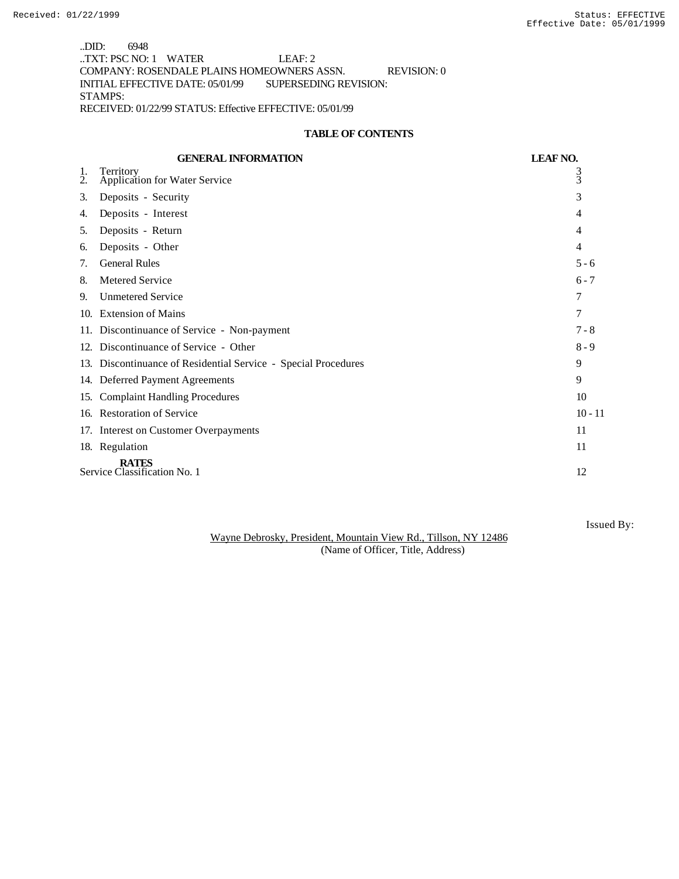..DID: 6948 ..TXT: PSC NO: 1 WATER LEAF: 2 COMPANY: ROSENDALE PLAINS HOMEOWNERS ASSN. REVISION: 0 INITIAL EFFECTIVE DATE: 05/01/99 SUPERSEDING REVISION: STAMPS: RECEIVED: 01/22/99 STATUS: Effective EFFECTIVE: 05/01/99

### **TABLE OF CONTENTS**

|                                              | <b>GENERAL INFORMATION</b>                                     | <b>LEAF NO.</b> |
|----------------------------------------------|----------------------------------------------------------------|-----------------|
| 1.<br>2.                                     | Territory<br><b>Application for Water Service</b>              | 3<br>3          |
| 3.                                           | Deposits - Security                                            | 3               |
| 4.                                           | Deposits - Interest                                            | 4               |
| 5.                                           | Deposits - Return                                              | 4               |
| 6.                                           | Deposits - Other                                               | $\overline{4}$  |
| 7.                                           | <b>General Rules</b>                                           | $5 - 6$         |
| 8.                                           | <b>Metered Service</b>                                         | $6 - 7$         |
| 9.                                           | <b>Unmetered Service</b>                                       | 7               |
| 10.                                          | <b>Extension of Mains</b>                                      | 7               |
| 11.                                          | Discontinuance of Service - Non-payment                        | $7 - 8$         |
|                                              | 12. Discontinuance of Service - Other                          | $8 - 9$         |
|                                              | 13. Discontinuance of Residential Service - Special Procedures | 9               |
|                                              | 14. Deferred Payment Agreements                                | 9               |
|                                              | 15. Complaint Handling Procedures                              | 10              |
|                                              | 16. Restoration of Service                                     | $10 - 11$       |
|                                              | 17. Interest on Customer Overpayments                          | 11              |
|                                              | 18. Regulation                                                 | 11              |
| <b>RATES</b><br>Service Classification No. 1 |                                                                | 12              |

Wayne Debrosky, President, Mountain View Rd., Tillson, NY 12486 (Name of Officer, Title, Address)

Issued By: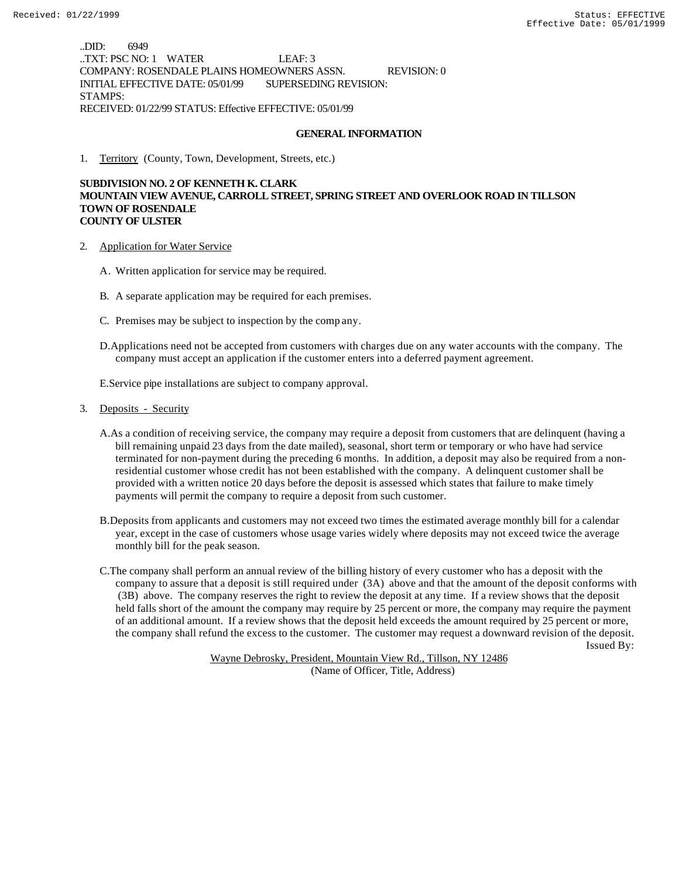..DID: 6949 ..TXT: PSC NO: 1 WATER LEAF: 3 COMPANY: ROSENDALE PLAINS HOMEOWNERS ASSN. REVISION: 0 INITIAL EFFECTIVE DATE: 05/01/99 SUPERSEDING REVISION: STAMPS: RECEIVED: 01/22/99 STATUS: Effective EFFECTIVE: 05/01/99

### **GENERAL INFORMATION**

1. Territory (County, Town, Development, Streets, etc.)

### **SUBDIVISION NO. 2 OF KENNETH K. CLARK MOUNTAIN VIEW AVENUE, CARROLL STREET, SPRING STREET AND OVERLOOK ROAD IN TILLSON TOWN OF ROSENDALE COUNTY OF ULSTER**

- 2. Application for Water Service
	- A. Written application for service may be required.
	- B. A separate application may be required for each premises.
	- C. Premises may be subject to inspection by the comp any.
	- D.Applications need not be accepted from customers with charges due on any water accounts with the company. The company must accept an application if the customer enters into a deferred payment agreement.

E.Service pipe installations are subject to company approval.

- 3. Deposits Security
	- A.As a condition of receiving service, the company may require a deposit from customers that are delinquent (having a bill remaining unpaid 23 days from the date mailed), seasonal, short term or temporary or who have had service terminated for non-payment during the preceding 6 months. In addition, a deposit may also be required from a nonresidential customer whose credit has not been established with the company. A delinquent customer shall be provided with a written notice 20 days before the deposit is assessed which states that failure to make timely payments will permit the company to require a deposit from such customer.
	- B.Deposits from applicants and customers may not exceed two times the estimated average monthly bill for a calendar year, except in the case of customers whose usage varies widely where deposits may not exceed twice the average monthly bill for the peak season.
- C.The company shall perform an annual review of the billing history of every customer who has a deposit with the company to assure that a deposit is still required under (3A) above and that the amount of the deposit conforms with (3B) above. The company reserves the right to review the deposit at any time. If a review shows that the deposit held falls short of the amount the company may require by 25 percent or more, the company may require the payment of an additional amount. If a review shows that the deposit held exceeds the amount required by 25 percent or more, the company shall refund the excess to the customer. The customer may request a downward revision of the deposit. Issued By: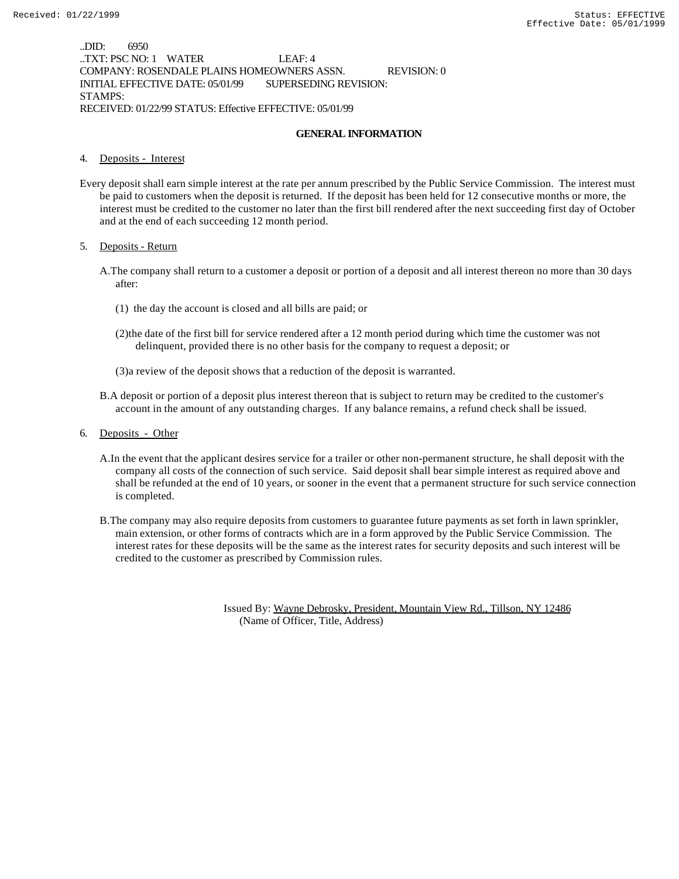..DID: 6950 ..TXT: PSC NO: 1 WATER LEAF: 4 COMPANY: ROSENDALE PLAINS HOMEOWNERS ASSN. REVISION: 0 INITIAL EFFECTIVE DATE: 05/01/99 SUPERSEDING REVISION: STAMPS: RECEIVED: 01/22/99 STATUS: Effective EFFECTIVE: 05/01/99

#### **GENERAL INFORMATION**

### 4. Deposits - Interest

Every deposit shall earn simple interest at the rate per annum prescribed by the Public Service Commission. The interest must be paid to customers when the deposit is returned. If the deposit has been held for 12 consecutive months or more, the interest must be credited to the customer no later than the first bill rendered after the next succeeding first day of October and at the end of each succeeding 12 month period.

#### 5. Deposits - Return

- A.The company shall return to a customer a deposit or portion of a deposit and all interest thereon no more than 30 days after:
	- (1) the day the account is closed and all bills are paid; or
	- (2)the date of the first bill for service rendered after a 12 month period during which time the customer was not delinquent, provided there is no other basis for the company to request a deposit; or
	- (3)a review of the deposit shows that a reduction of the deposit is warranted.
- B.A deposit or portion of a deposit plus interest thereon that is subject to return may be credited to the customer's account in the amount of any outstanding charges. If any balance remains, a refund check shall be issued.
- 6. Deposits Other
	- A.In the event that the applicant desires service for a trailer or other non-permanent structure, he shall deposit with the company all costs of the connection of such service. Said deposit shall bear simple interest as required above and shall be refunded at the end of 10 years, or sooner in the event that a permanent structure for such service connection is completed.
	- B.The company may also require deposits from customers to guarantee future payments as set forth in lawn sprinkler, main extension, or other forms of contracts which are in a form approved by the Public Service Commission. The interest rates for these deposits will be the same as the interest rates for security deposits and such interest will be credited to the customer as prescribed by Commission rules.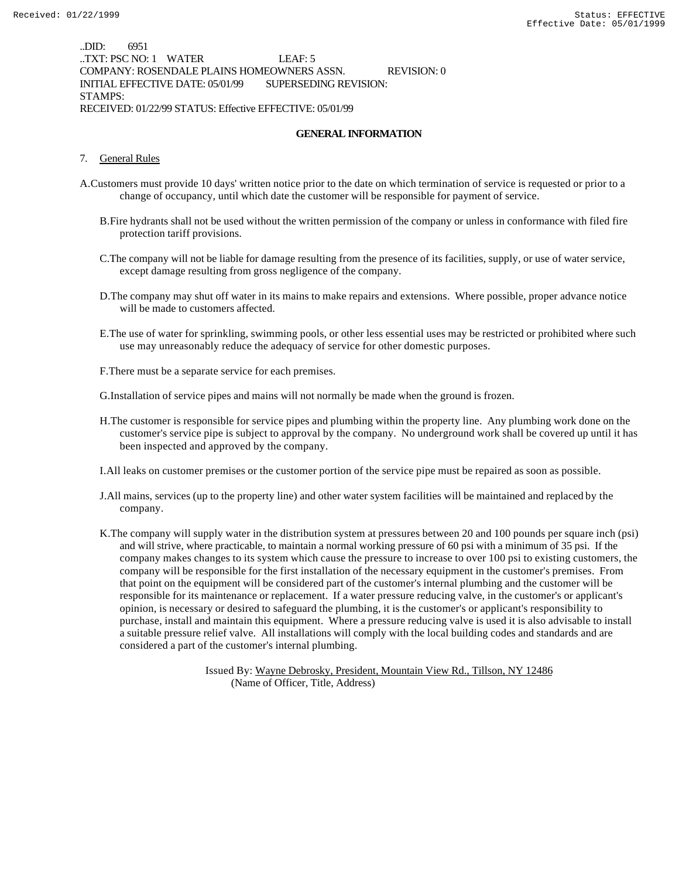..DID: 6951 ..TXT: PSC NO: 1 WATER LEAF: 5 COMPANY: ROSENDALE PLAINS HOMEOWNERS ASSN. REVISION: 0 INITIAL EFFECTIVE DATE: 05/01/99 SUPERSEDING REVISION: STAMPS: RECEIVED: 01/22/99 STATUS: Effective EFFECTIVE: 05/01/99

#### **GENERAL INFORMATION**

- 7. General Rules
- A.Customers must provide 10 days' written notice prior to the date on which termination of service is requested or prior to a change of occupancy, until which date the customer will be responsible for payment of service.
	- B.Fire hydrants shall not be used without the written permission of the company or unless in conformance with filed fire protection tariff provisions.
	- C.The company will not be liable for damage resulting from the presence of its facilities, supply, or use of water service, except damage resulting from gross negligence of the company.
	- D.The company may shut off water in its mains to make repairs and extensions. Where possible, proper advance notice will be made to customers affected.
	- E.The use of water for sprinkling, swimming pools, or other less essential uses may be restricted or prohibited where such use may unreasonably reduce the adequacy of service for other domestic purposes.
	- F.There must be a separate service for each premises.
	- G.Installation of service pipes and mains will not normally be made when the ground is frozen.
	- H.The customer is responsible for service pipes and plumbing within the property line. Any plumbing work done on the customer's service pipe is subject to approval by the company. No underground work shall be covered up until it has been inspected and approved by the company.
	- I.All leaks on customer premises or the customer portion of the service pipe must be repaired as soon as possible.
	- J.All mains, services (up to the property line) and other water system facilities will be maintained and replaced by the company.
	- K.The company will supply water in the distribution system at pressures between 20 and 100 pounds per square inch (psi) and will strive, where practicable, to maintain a normal working pressure of 60 psi with a minimum of 35 psi. If the company makes changes to its system which cause the pressure to increase to over 100 psi to existing customers, the company will be responsible for the first installation of the necessary equipment in the customer's premises. From that point on the equipment will be considered part of the customer's internal plumbing and the customer will be responsible for its maintenance or replacement. If a water pressure reducing valve, in the customer's or applicant's opinion, is necessary or desired to safeguard the plumbing, it is the customer's or applicant's responsibility to purchase, install and maintain this equipment. Where a pressure reducing valve is used it is also advisable to install a suitable pressure relief valve. All installations will comply with the local building codes and standards and are considered a part of the customer's internal plumbing.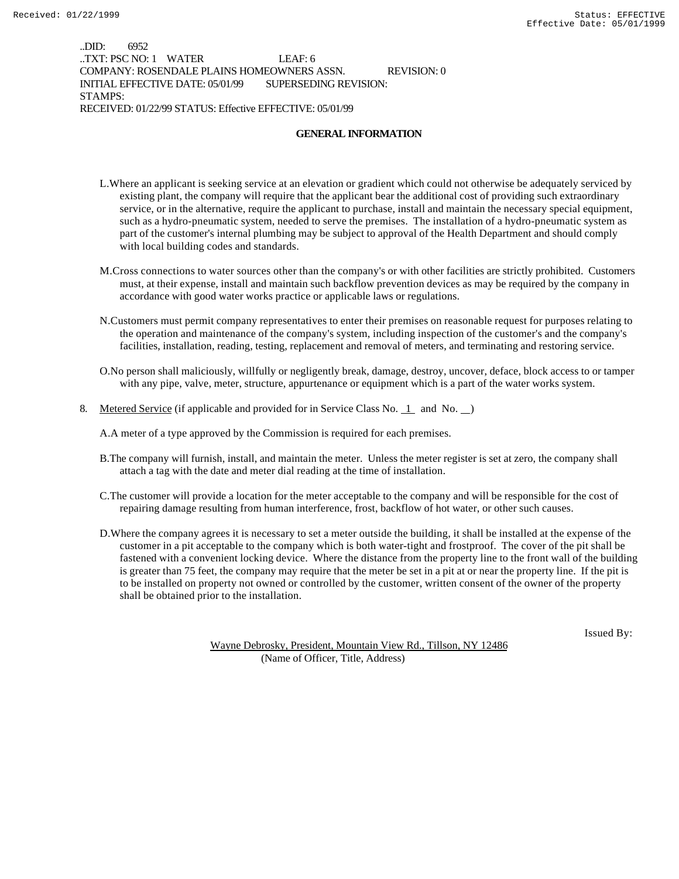..DID: 6952 ..TXT: PSC NO: 1 WATER LEAF: 6 COMPANY: ROSENDALE PLAINS HOMEOWNERS ASSN. REVISION: 0 INITIAL EFFECTIVE DATE: 05/01/99 SUPERSEDING REVISION: STAMPS: RECEIVED: 01/22/99 STATUS: Effective EFFECTIVE: 05/01/99

#### **GENERAL INFORMATION**

- L.Where an applicant is seeking service at an elevation or gradient which could not otherwise be adequately serviced by existing plant, the company will require that the applicant bear the additional cost of providing such extraordinary service, or in the alternative, require the applicant to purchase, install and maintain the necessary special equipment, such as a hydro-pneumatic system, needed to serve the premises. The installation of a hydro-pneumatic system as part of the customer's internal plumbing may be subject to approval of the Health Department and should comply with local building codes and standards.
- M.Cross connections to water sources other than the company's or with other facilities are strictly prohibited. Customers must, at their expense, install and maintain such backflow prevention devices as may be required by the company in accordance with good water works practice or applicable laws or regulations.
- N.Customers must permit company representatives to enter their premises on reasonable request for purposes relating to the operation and maintenance of the company's system, including inspection of the customer's and the company's facilities, installation, reading, testing, replacement and removal of meters, and terminating and restoring service.
- O.No person shall maliciously, willfully or negligently break, damage, destroy, uncover, deface, block access to or tamper with any pipe, valve, meter, structure, appurtenance or equipment which is a part of the water works system.
- 8. Metered Service (if applicable and provided for in Service Class No. 1 and No.  $\Box$ )

A.A meter of a type approved by the Commission is required for each premises.

- B.The company will furnish, install, and maintain the meter. Unless the meter register is set at zero, the company shall attach a tag with the date and meter dial reading at the time of installation.
- C.The customer will provide a location for the meter acceptable to the company and will be responsible for the cost of repairing damage resulting from human interference, frost, backflow of hot water, or other such causes.
- D.Where the company agrees it is necessary to set a meter outside the building, it shall be installed at the expense of the customer in a pit acceptable to the company which is both water-tight and frostproof. The cover of the pit shall be fastened with a convenient locking device. Where the distance from the property line to the front wall of the building is greater than 75 feet, the company may require that the meter be set in a pit at or near the property line. If the pit is to be installed on property not owned or controlled by the customer, written consent of the owner of the property shall be obtained prior to the installation.

Issued By: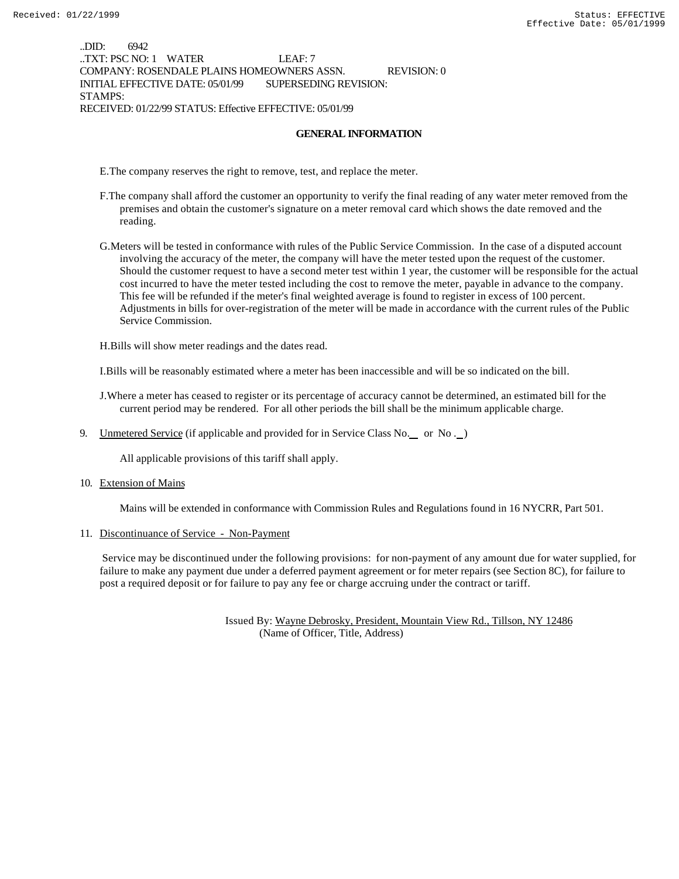..DID: 6942 ..TXT: PSC NO: 1 WATER LEAF: 7 COMPANY: ROSENDALE PLAINS HOMEOWNERS ASSN. REVISION: 0 INITIAL EFFECTIVE DATE: 05/01/99 SUPERSEDING REVISION: STAMPS: RECEIVED: 01/22/99 STATUS: Effective EFFECTIVE: 05/01/99

#### **GENERAL INFORMATION**

E.The company reserves the right to remove, test, and replace the meter.

- F.The company shall afford the customer an opportunity to verify the final reading of any water meter removed from the premises and obtain the customer's signature on a meter removal card which shows the date removed and the reading.
- G.Meters will be tested in conformance with rules of the Public Service Commission. In the case of a disputed account involving the accuracy of the meter, the company will have the meter tested upon the request of the customer. Should the customer request to have a second meter test within 1 year, the customer will be responsible for the actual cost incurred to have the meter tested including the cost to remove the meter, payable in advance to the company. This fee will be refunded if the meter's final weighted average is found to register in excess of 100 percent. Adjustments in bills for over-registration of the meter will be made in accordance with the current rules of the Public Service Commission.

H.Bills will show meter readings and the dates read.

I.Bills will be reasonably estimated where a meter has been inaccessible and will be so indicated on the bill.

J.Where a meter has ceased to register or its percentage of accuracy cannot be determined, an estimated bill for the current period may be rendered. For all other periods the bill shall be the minimum applicable charge.

9. Unmetered Service (if applicable and provided for in Service Class No. or No.)

All applicable provisions of this tariff shall apply.

10. Extension of Mains

Mains will be extended in conformance with Commission Rules and Regulations found in 16 NYCRR, Part 501.

11. Discontinuance of Service - Non-Payment

 Service may be discontinued under the following provisions: for non-payment of any amount due for water supplied, for failure to make any payment due under a deferred payment agreement or for meter repairs (see Section 8C), for failure to post a required deposit or for failure to pay any fee or charge accruing under the contract or tariff.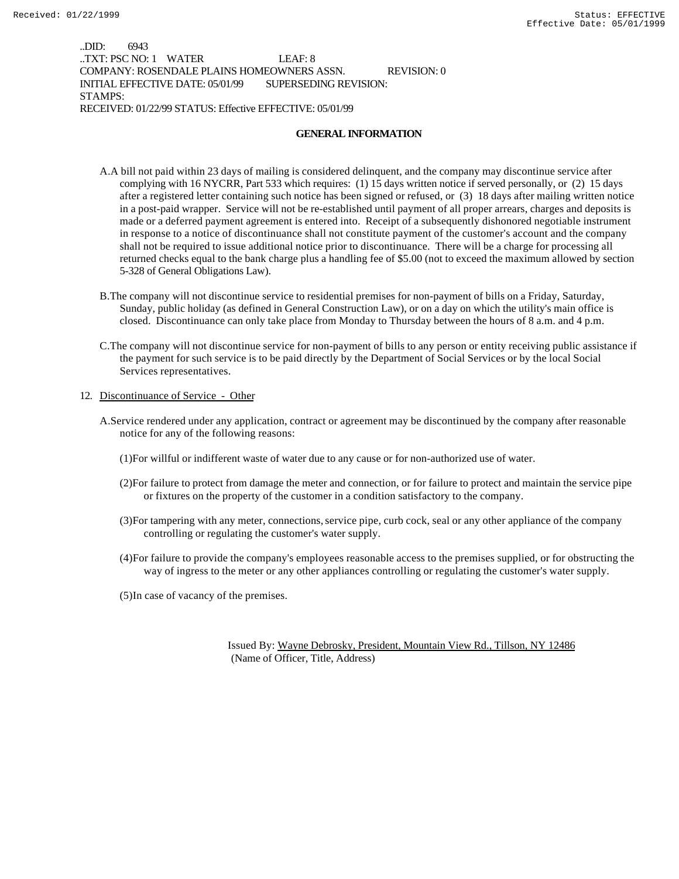..DID: 6943 ..TXT: PSC NO: 1 WATER LEAF: 8 COMPANY: ROSENDALE PLAINS HOMEOWNERS ASSN. REVISION: 0 INITIAL EFFECTIVE DATE: 05/01/99 SUPERSEDING REVISION: STAMPS: RECEIVED: 01/22/99 STATUS: Effective EFFECTIVE: 05/01/99

### **GENERAL INFORMATION**

- A.A bill not paid within 23 days of mailing is considered delinquent, and the company may discontinue service after complying with 16 NYCRR, Part 533 which requires: (1) 15 days written notice if served personally, or (2) 15 days after a registered letter containing such notice has been signed or refused, or (3) 18 days after mailing written notice in a post-paid wrapper. Service will not be re-established until payment of all proper arrears, charges and deposits is made or a deferred payment agreement is entered into. Receipt of a subsequently dishonored negotiable instrument in response to a notice of discontinuance shall not constitute payment of the customer's account and the company shall not be required to issue additional notice prior to discontinuance. There will be a charge for processing all returned checks equal to the bank charge plus a handling fee of \$5.00 (not to exceed the maximum allowed by section 5-328 of General Obligations Law).
- B.The company will not discontinue service to residential premises for non-payment of bills on a Friday, Saturday, Sunday, public holiday (as defined in General Construction Law), or on a day on which the utility's main office is closed. Discontinuance can only take place from Monday to Thursday between the hours of 8 a.m. and 4 p.m.
- C.The company will not discontinue service for non-payment of bills to any person or entity receiving public assistance if the payment for such service is to be paid directly by the Department of Social Services or by the local Social Services representatives.

### 12. Discontinuance of Service - Other

- A.Service rendered under any application, contract or agreement may be discontinued by the company after reasonable notice for any of the following reasons:
	- (1)For willful or indifferent waste of water due to any cause or for non-authorized use of water.
	- (2)For failure to protect from damage the meter and connection, or for failure to protect and maintain the service pipe or fixtures on the property of the customer in a condition satisfactory to the company.
	- (3)For tampering with any meter, connections, service pipe, curb cock, seal or any other appliance of the company controlling or regulating the customer's water supply.
	- (4)For failure to provide the company's employees reasonable access to the premises supplied, or for obstructing the way of ingress to the meter or any other appliances controlling or regulating the customer's water supply.

(5)In case of vacancy of the premises.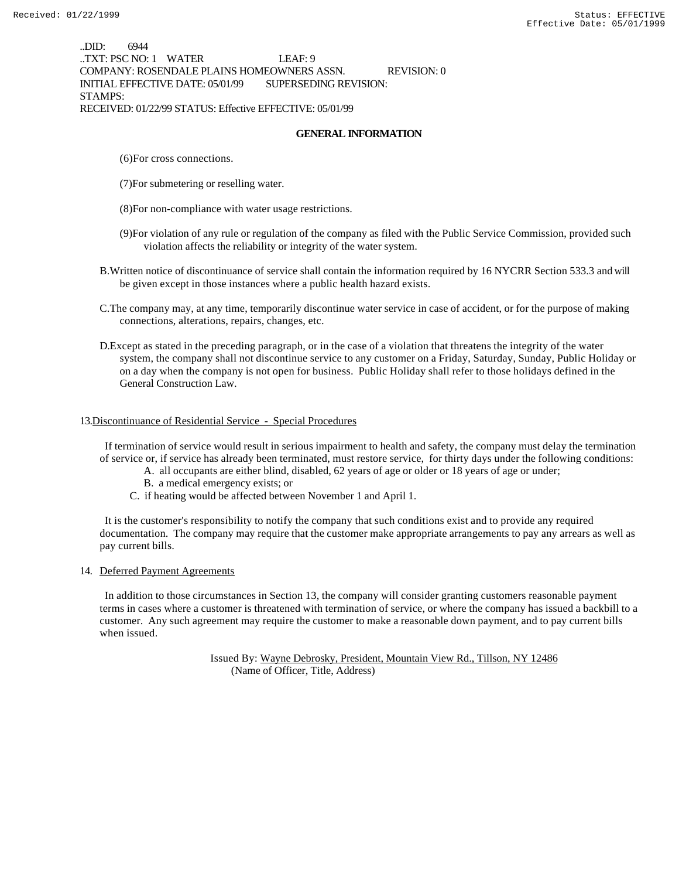..DID: 6944 ..TXT: PSC NO: 1 WATER LEAF: 9 COMPANY: ROSENDALE PLAINS HOMEOWNERS ASSN. REVISION: 0 INITIAL EFFECTIVE DATE: 05/01/99 SUPERSEDING REVISION: STAMPS: RECEIVED: 01/22/99 STATUS: Effective EFFECTIVE: 05/01/99

### **GENERAL INFORMATION**

- (6)For cross connections.
- (7)For submetering or reselling water.
- (8)For non-compliance with water usage restrictions.
- (9)For violation of any rule or regulation of the company as filed with the Public Service Commission, provided such violation affects the reliability or integrity of the water system.
- B.Written notice of discontinuance of service shall contain the information required by 16 NYCRR Section 533.3 and will be given except in those instances where a public health hazard exists.
- C.The company may, at any time, temporarily discontinue water service in case of accident, or for the purpose of making connections, alterations, repairs, changes, etc.
- D.Except as stated in the preceding paragraph, or in the case of a violation that threatens the integrity of the water system, the company shall not discontinue service to any customer on a Friday, Saturday, Sunday, Public Holiday or on a day when the company is not open for business. Public Holiday shall refer to those holidays defined in the General Construction Law.

### 13.Discontinuance of Residential Service - Special Procedures

 If termination of service would result in serious impairment to health and safety, the company must delay the termination of service or, if service has already been terminated, must restore service, for thirty days under the following conditions:

- A. all occupants are either blind, disabled, 62 years of age or older or 18 years of age or under;
	- B. a medical emergency exists; or
- C. if heating would be affected between November 1 and April 1.

 It is the customer's responsibility to notify the company that such conditions exist and to provide any required documentation. The company may require that the customer make appropriate arrangements to pay any arrears as well as pay current bills.

#### 14. Deferred Payment Agreements

 In addition to those circumstances in Section 13, the company will consider granting customers reasonable payment terms in cases where a customer is threatened with termination of service, or where the company has issued a backbill to a customer. Any such agreement may require the customer to make a reasonable down payment, and to pay current bills when issued.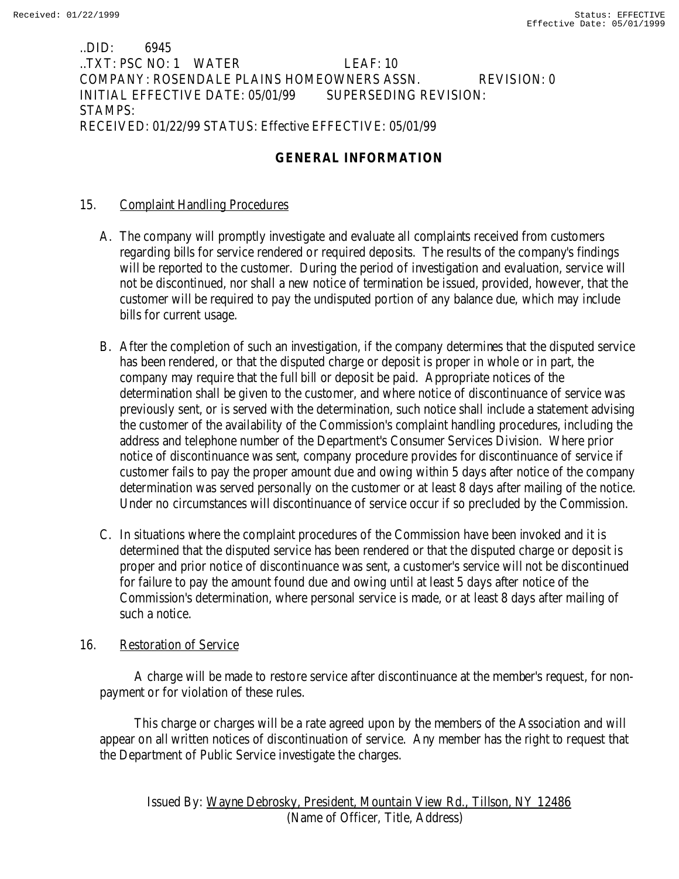# ..DID: 6945 ..TXT: PSC NO: 1 WATER LEAF: 10 COMPANY: ROSENDALE PLAINS HOMEOWNERS ASSN. REVISION: 0 INITIAL EFFECTIVE DATE: 05/01/99 SUPERSEDING REVISION: STAMPS: RECEIVED: 01/22/99 STATUS: Effective EFFECTIVE: 05/01/99

# **GENERAL INFORMATION**

# 15. Complaint Handling Procedures

- A. The company will promptly investigate and evaluate all complaints received from customers regarding bills for service rendered or required deposits. The results of the company's findings will be reported to the customer. During the period of investigation and evaluation, service will not be discontinued, nor shall a new notice of termination be issued, provided, however, that the customer will be required to pay the undisputed portion of any balance due, which may include bills for current usage.
- B. After the completion of such an investigation, if the company determines that the disputed service has been rendered, or that the disputed charge or deposit is proper in whole or in part, the company may require that the full bill or deposit be paid. Appropriate notices of the determination shall be given to the customer, and where notice of discontinuance of service was previously sent, or is served with the determination, such notice shall include a statement advising the customer of the availability of the Commission's complaint handling procedures, including the address and telephone number of the Department's Consumer Services Division. Where prior notice of discontinuance was sent, company procedure provides for discontinuance of service if customer fails to pay the proper amount due and owing within 5 days after notice of the company determination was served personally on the customer or at least 8 days after mailing of the notice. Under no circumstances will discontinuance of service occur if so precluded by the Commission.
- C. In situations where the complaint procedures of the Commission have been invoked and it is determined that the disputed service has been rendered or that the disputed charge or deposit is proper and prior notice of discontinuance was sent, a customer's service will not be discontinued for failure to pay the amount found due and owing until at least 5 days after notice of the Commission's determination, where personal service is made, or at least 8 days after mailing of such a notice.

# 16. Restoration of Service

 A charge will be made to restore service after discontinuance at the member's request, for nonpayment or for violation of these rules.

 This charge or charges will be a rate agreed upon by the members of the Association and will appear on all written notices of discontinuation of service. Any member has the right to request that the Department of Public Service investigate the charges.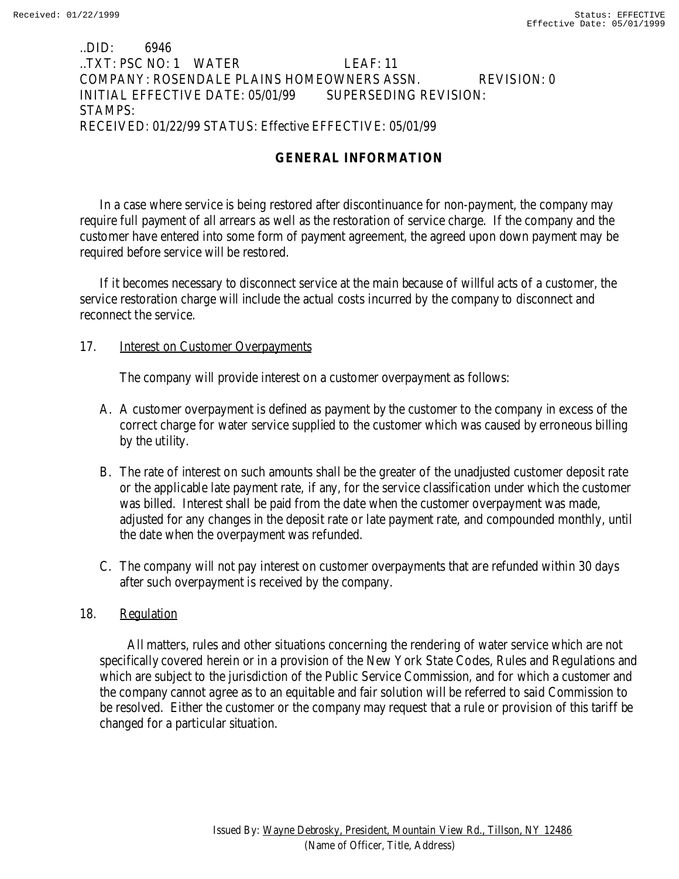## ..DID: 6946 ..TXT: PSC NO: 1 WATER LEAF: 11 COMPANY: ROSENDALE PLAINS HOMEOWNERS ASSN. REVISION: 0 INITIAL EFFECTIVE DATE: 05/01/99 SUPERSEDING REVISION: STAMPS: RECEIVED: 01/22/99 STATUS: Effective EFFECTIVE: 05/01/99

# **GENERAL INFORMATION**

In a case where service is being restored after discontinuance for non-payment, the company may require full payment of all arrears as well as the restoration of service charge. If the company and the customer have entered into some form of payment agreement, the agreed upon down payment may be required before service will be restored.

If it becomes necessary to disconnect service at the main because of willful acts of a customer, the service restoration charge will include the actual costs incurred by the company to disconnect and reconnect the service.

### 17. **Interest on Customer Overpayments**

The company will provide interest on a customer overpayment as follows:

- A. A customer overpayment is defined as payment by the customer to the company in excess of the correct charge for water service supplied to the customer which was caused by erroneous billing by the utility.
- B. The rate of interest on such amounts shall be the greater of the unadjusted customer deposit rate or the applicable late payment rate, if any, for the service classification under which the customer was billed. Interest shall be paid from the date when the customer overpayment was made, adjusted for any changes in the deposit rate or late payment rate, and compounded monthly, until the date when the overpayment was refunded.
- C. The company will not pay interest on customer overpayments that are refunded within 30 days after such overpayment is received by the company.

# 18. Regulation

 All matters, rules and other situations concerning the rendering of water service which are not specifically covered herein or in a provision of the New York State Codes, Rules and Regulations and which are subject to the jurisdiction of the Public Service Commission, and for which a customer and the company cannot agree as to an equitable and fair solution will be referred to said Commission to be resolved. Either the customer or the company may request that a rule or provision of this tariff be changed for a particular situation.